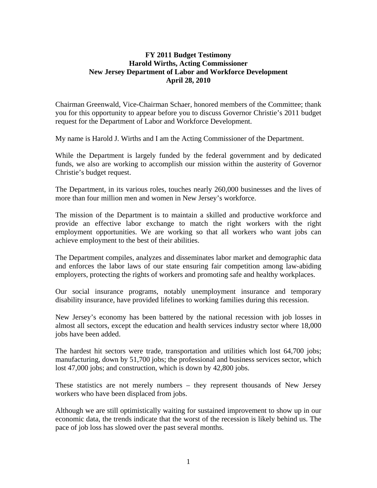#### **FY 2011 Budget Testimony Harold Wirths, Acting Commissioner New Jersey Department of Labor and Workforce Development April 28, 2010**

Chairman Greenwald, Vice-Chairman Schaer, honored members of the Committee; thank you for this opportunity to appear before you to discuss Governor Christie's 2011 budget request for the Department of Labor and Workforce Development.

My name is Harold J. Wirths and I am the Acting Commissioner of the Department.

While the Department is largely funded by the federal government and by dedicated funds, we also are working to accomplish our mission within the austerity of Governor Christie's budget request.

The Department, in its various roles, touches nearly 260,000 businesses and the lives of more than four million men and women in New Jersey's workforce.

The mission of the Department is to maintain a skilled and productive workforce and provide an effective labor exchange to match the right workers with the right employment opportunities. We are working so that all workers who want jobs can achieve employment to the best of their abilities.

The Department compiles, analyzes and disseminates labor market and demographic data and enforces the labor laws of our state ensuring fair competition among law-abiding employers, protecting the rights of workers and promoting safe and healthy workplaces.

Our social insurance programs, notably unemployment insurance and temporary disability insurance, have provided lifelines to working families during this recession.

New Jersey's economy has been battered by the national recession with job losses in almost all sectors, except the education and health services industry sector where 18,000 jobs have been added.

The hardest hit sectors were trade, transportation and utilities which lost 64,700 jobs; manufacturing, down by 51,700 jobs; the professional and business services sector, which lost 47,000 jobs; and construction, which is down by 42,800 jobs.

These statistics are not merely numbers – they represent thousands of New Jersey workers who have been displaced from jobs.

Although we are still optimistically waiting for sustained improvement to show up in our economic data, the trends indicate that the worst of the recession is likely behind us. The pace of job loss has slowed over the past several months.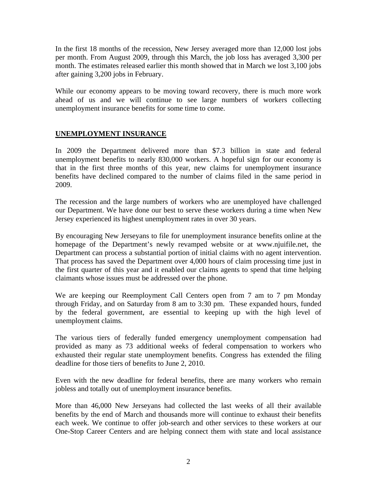In the first 18 months of the recession, New Jersey averaged more than 12,000 lost jobs per month. From August 2009, through this March, the job loss has averaged 3,300 per month. The estimates released earlier this month showed that in March we lost 3,100 jobs after gaining 3,200 jobs in February.

While our economy appears to be moving toward recovery, there is much more work ahead of us and we will continue to see large numbers of workers collecting unemployment insurance benefits for some time to come.

#### **UNEMPLOYMENT INSURANCE**

In 2009 the Department delivered more than \$7.3 billion in state and federal unemployment benefits to nearly 830,000 workers. A hopeful sign for our economy is that in the first three months of this year, new claims for unemployment insurance benefits have declined compared to the number of claims filed in the same period in 2009.

The recession and the large numbers of workers who are unemployed have challenged our Department. We have done our best to serve these workers during a time when New Jersey experienced its highest unemployment rates in over 30 years.

By encouraging New Jerseyans to file for unemployment insurance benefits online at the homepage of the Department's newly revamped website or at www.njuifile.net, the Department can process a substantial portion of initial claims with no agent intervention. That process has saved the Department over 4,000 hours of claim processing time just in the first quarter of this year and it enabled our claims agents to spend that time helping claimants whose issues must be addressed over the phone.

We are keeping our Reemployment Call Centers open from 7 am to 7 pm Monday through Friday, and on Saturday from 8 am to 3:30 pm. These expanded hours, funded by the federal government, are essential to keeping up with the high level of unemployment claims.

The various tiers of federally funded emergency unemployment compensation had provided as many as 73 additional weeks of federal compensation to workers who exhausted their regular state unemployment benefits. Congress has extended the filing deadline for those tiers of benefits to June 2, 2010.

Even with the new deadline for federal benefits, there are many workers who remain jobless and totally out of unemployment insurance benefits.

More than 46,000 New Jerseyans had collected the last weeks of all their available benefits by the end of March and thousands more will continue to exhaust their benefits each week. We continue to offer job-search and other services to these workers at our One-Stop Career Centers and are helping connect them with state and local assistance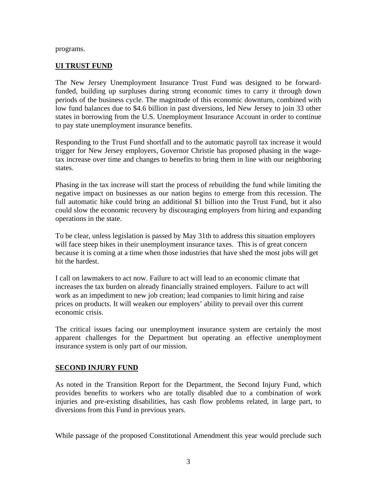#### programs.

#### **UI TRUST FUND**

The New Jersey Unemployment Insurance Trust Fund was designed to be forwardfunded, building up surpluses during strong economic times to carry it through down periods of the business cycle. The magnitude of this economic downturn, combined with low fund balances due to \$4.6 billion in past diversions, led New Jersey to join 33 other states in borrowing from the U.S. Unemployment Insurance Account in order to continue to pay state unemployment insurance benefits.

Responding to the Trust Fund shortfall and to the automatic payroll tax increase it would trigger for New Jersey employers, Governor Christie has proposed phasing in the wagetax increase over time and changes to benefits to bring them in line with our neighboring states.

Phasing in the tax increase will start the process of rebuilding the fund while limiting the negative impact on businesses as our nation begins to emerge from this recession. The full automatic hike could bring an additional \$1 billion into the Trust Fund, but it also could slow the economic recovery by discouraging employers from hiring and expanding operations in the state.

To be clear, unless legislation is passed by May 31th to address this situation employers will face steep hikes in their unemployment insurance taxes. This is of great concern because it is coming at a time when those industries that have shed the most jobs will get hit the hardest.

I call on lawmakers to act now. Failure to act will lead to an economic climate that increases the tax burden on already financially strained employers. Failure to act will work as an impediment to new job creation; lead companies to limit hiring and raise prices on products. It will weaken our employers' ability to prevail over this current economic crisis.

The critical issues facing our unemployment insurance system are certainly the most apparent challenges for the Department but operating an effective unemployment insurance system is only part of our mission.

#### **SECOND INJURY FUND**

As noted in the Transition Report for the Department, the Second Injury Fund, which provides benefits to workers who are totally disabled due to a combination of work injuries and pre-existing disabilities, has cash flow problems related, in large part, to diversions from this Fund in previous years.

While passage of the proposed Constitutional Amendment this year would preclude such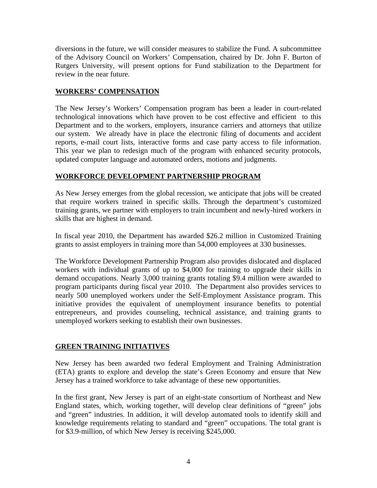diversions in the future, we will consider measures to stabilize the Fund. A subcommittee of the Advisory Council on Workers' Compensation, chaired by Dr. John F. Burton of Rutgers University, will present options for Fund stabilization to the Department for review in the near future.

#### **WORKERS' COMPENSATION**

The New Jersey's Workers' Compensation program has been a leader in court-related technological innovations which have proven to be cost effective and efficient to this Department and to the workers, employers, insurance carriers and attorneys that utilize our system. We already have in place the electronic filing of documents and accident reports, e-mail court lists, interactive forms and case party access to file information. This year we plan to redesign much of the program with enhanced security protocols, updated computer language and automated orders, motions and judgments.

#### **WORKFORCE DEVELOPMENT PARTNERSHIP PROGRAM**

As New Jersey emerges from the global recession, we anticipate that jobs will be created that require workers trained in specific skills. Through the department's customized training grants, we partner with employers to train incumbent and newly-hired workers in skills that are highest in demand.

In fiscal year 2010, the Department has awarded \$26.2 million in Customized Training grants to assist employers in training more than 54,000 employees at 330 businesses.

The Workforce Development Partnership Program also provides dislocated and displaced workers with individual grants of up to \$4,000 for training to upgrade their skills in demand occupations. Nearly 3,000 training grants totaling \$9.4 million were awarded to program participants during fiscal year 2010. The Department also provides services to nearly 500 unemployed workers under the Self-Employment Assistance program. This initiative provides the equivalent of unemployment insurance benefits to potential entrepreneurs, and provides counseling, technical assistance, and training grants to unemployed workers seeking to establish their own businesses.

#### **GREEN TRAINING INITIATIVES**

New Jersey has been awarded two federal Employment and Training Administration (ETA) grants to explore and develop the state's Green Economy and ensure that New Jersey has a trained workforce to take advantage of these new opportunities.

In the first grant, New Jersey is part of an eight-state consortium of Northeast and New England states, which, working together, will develop clear definitions of "green" jobs and "green" industries. In addition, it will develop automated tools to identify skill and knowledge requirements relating to standard and "green" occupations. The total grant is for \$3.9-million, of which New Jersey is receiving \$245,000.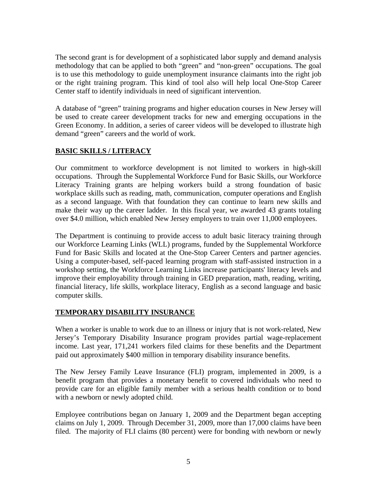The second grant is for development of a sophisticated labor supply and demand analysis methodology that can be applied to both "green" and "non-green" occupations. The goal is to use this methodology to guide unemployment insurance claimants into the right job or the right training program. This kind of tool also will help local One-Stop Career Center staff to identify individuals in need of significant intervention.

A database of "green" training programs and higher education courses in New Jersey will be used to create career development tracks for new and emerging occupations in the Green Economy. In addition, a series of career videos will be developed to illustrate high demand "green" careers and the world of work.

## **BASIC SKILLS / LITERACY**

Our commitment to workforce development is not limited to workers in high-skill occupations. Through the Supplemental Workforce Fund for Basic Skills, our Workforce Literacy Training grants are helping workers build a strong foundation of basic workplace skills such as reading, math, communication, computer operations and English as a second language. With that foundation they can continue to learn new skills and make their way up the career ladder. In this fiscal year, we awarded 43 grants totaling over \$4.0 million, which enabled New Jersey employers to train over 11,000 employees.

The Department is continuing to provide access to adult basic literacy training through our Workforce Learning Links (WLL) programs, funded by the Supplemental Workforce Fund for Basic Skills and located at the One-Stop Career Centers and partner agencies. Using a computer-based, self-paced learning program with staff-assisted instruction in a workshop setting, the Workforce Learning Links increase participants' literacy levels and improve their employability through training in GED preparation, math, reading, writing, financial literacy, life skills, workplace literacy, English as a second language and basic computer skills.

#### **TEMPORARY DISABILITY INSURANCE**

When a worker is unable to work due to an illness or injury that is not work-related, New Jersey's Temporary Disability Insurance program provides partial wage-replacement income. Last year, 171,241 workers filed claims for these benefits and the Department paid out approximately \$400 million in temporary disability insurance benefits.

The New Jersey Family Leave Insurance (FLI) program, implemented in 2009, is a benefit program that provides a monetary benefit to covered individuals who need to provide care for an eligible family member with a serious health condition or to bond with a newborn or newly adopted child.

Employee contributions began on January 1, 2009 and the Department began accepting claims on July 1, 2009. Through December 31, 2009, more than 17,000 claims have been filed. The majority of FLI claims (80 percent) were for bonding with newborn or newly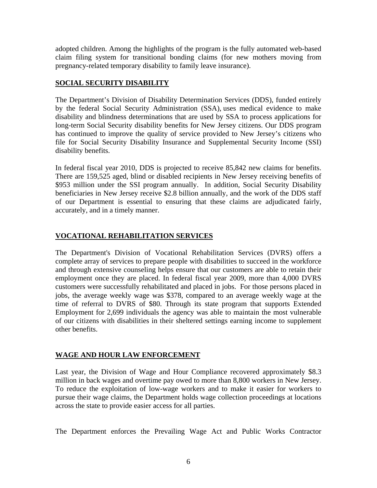adopted children. Among the highlights of the program is the fully automated web-based claim filing system for transitional bonding claims (for new mothers moving from pregnancy-related temporary disability to family leave insurance).

### **SOCIAL SECURITY DISABILITY**

The Department's Division of Disability Determination Services (DDS), funded entirely by the federal Social Security Administration (SSA), uses medical evidence to make disability and blindness determinations that are used by SSA to process applications for long-term Social Security disability benefits for New Jersey citizens. Our DDS program has continued to improve the quality of service provided to New Jersey's citizens who file for Social Security Disability Insurance and Supplemental Security Income (SSI) disability benefits.

In federal fiscal year 2010, DDS is projected to receive 85,842 new claims for benefits. There are 159,525 aged, blind or disabled recipients in New Jersey receiving benefits of \$953 million under the SSI program annually. In addition, Social Security Disability beneficiaries in New Jersey receive \$2.8 billion annually, and the work of the DDS staff of our Department is essential to ensuring that these claims are adjudicated fairly, accurately, and in a timely manner.

# **VOCATIONAL REHABILITATION SERVICES**

The Department's Division of Vocational Rehabilitation Services (DVRS) offers a complete array of services to prepare people with disabilities to succeed in the workforce and through extensive counseling helps ensure that our customers are able to retain their employment once they are placed. In federal fiscal year 2009, more than 4,000 DVRS customers were successfully rehabilitated and placed in jobs. For those persons placed in jobs, the average weekly wage was \$378, compared to an average weekly wage at the time of referral to DVRS of \$80. Through its state program that supports Extended Employment for 2,699 individuals the agency was able to maintain the most vulnerable of our citizens with disabilities in their sheltered settings earning income to supplement other benefits.

# **WAGE AND HOUR LAW ENFORCEMENT**

Last year, the Division of Wage and Hour Compliance recovered approximately \$8.3 million in back wages and overtime pay owed to more than 8,800 workers in New Jersey. To reduce the exploitation of low-wage workers and to make it easier for workers to pursue their wage claims, the Department holds wage collection proceedings at locations across the state to provide easier access for all parties.

The Department enforces the Prevailing Wage Act and Public Works Contractor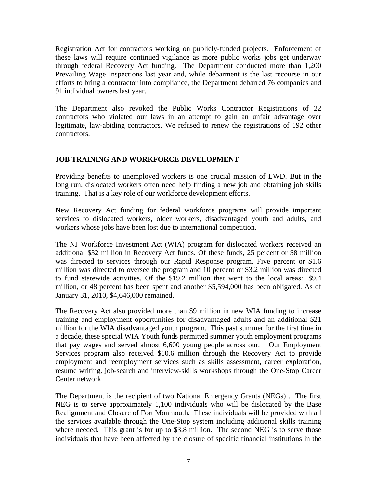Registration Act for contractors working on publicly-funded projects. Enforcement of these laws will require continued vigilance as more public works jobs get underway through federal Recovery Act funding. The Department conducted more than 1,200 Prevailing Wage Inspections last year and, while debarment is the last recourse in our efforts to bring a contractor into compliance, the Department debarred 76 companies and 91 individual owners last year.

The Department also revoked the Public Works Contractor Registrations of 22 contractors who violated our laws in an attempt to gain an unfair advantage over legitimate, law-abiding contractors. We refused to renew the registrations of 192 other contractors.

## **JOB TRAINING AND WORKFORCE DEVELOPMENT**

Providing benefits to unemployed workers is one crucial mission of LWD. But in the long run, dislocated workers often need help finding a new job and obtaining job skills training. That is a key role of our workforce development efforts.

New Recovery Act funding for federal workforce programs will provide important services to dislocated workers, older workers, disadvantaged youth and adults, and workers whose jobs have been lost due to international competition.

The NJ Workforce Investment Act (WIA) program for dislocated workers received an additional \$32 million in Recovery Act funds. Of these funds, 25 percent or \$8 million was directed to services through our Rapid Response program. Five percent or \$1.6 million was directed to oversee the program and 10 percent or \$3.2 million was directed to fund statewide activities. Of the \$19.2 million that went to the local areas: \$9.4 million, or 48 percent has been spent and another \$5,594,000 has been obligated. As of January 31, 2010, \$4,646,000 remained.

The Recovery Act also provided more than \$9 million in new WIA funding to increase training and employment opportunities for disadvantaged adults and an additional \$21 million for the WIA disadvantaged youth program. This past summer for the first time in a decade, these special WIA Youth funds permitted summer youth employment programs that pay wages and served almost 6,600 young people across our. Our Employment Services program also received \$10.6 million through the Recovery Act to provide employment and reemployment services such as skills assessment, career exploration, resume writing, job-search and interview-skills workshops through the One-Stop Career Center network.

The Department is the recipient of two National Emergency Grants (NEGs) . The first NEG is to serve approximately 1,100 individuals who will be dislocated by the Base Realignment and Closure of Fort Monmouth. These individuals will be provided with all the services available through the One-Stop system including additional skills training where needed. This grant is for up to \$3.8 million. The second NEG is to serve those individuals that have been affected by the closure of specific financial institutions in the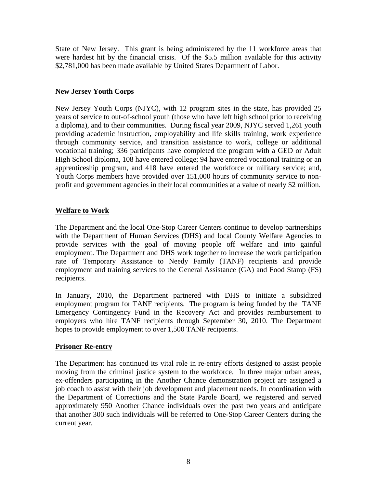State of New Jersey. This grant is being administered by the 11 workforce areas that were hardest hit by the financial crisis. Of the \$5.5 million available for this activity \$2,781,000 has been made available by United States Department of Labor.

#### **New Jersey Youth Corps**

New Jersey Youth Corps (NJYC), with 12 program sites in the state, has provided 25 years of service to out-of-school youth (those who have left high school prior to receiving a diploma), and to their communities. During fiscal year 2009, NJYC served 1,261 youth providing academic instruction, employability and life skills training, work experience through community service, and transition assistance to work, college or additional vocational training; 336 participants have completed the program with a GED or Adult High School diploma, 108 have entered college; 94 have entered vocational training or an apprenticeship program, and 418 have entered the workforce or military service; and, Youth Corps members have provided over 151,000 hours of community service to nonprofit and government agencies in their local communities at a value of nearly \$2 million.

## **Welfare to Work**

The Department and the local One-Stop Career Centers continue to develop partnerships with the Department of Human Services (DHS) and local County Welfare Agencies to provide services with the goal of moving people off welfare and into gainful employment. The Department and DHS work together to increase the work participation rate of Temporary Assistance to Needy Family (TANF) recipients and provide employment and training services to the General Assistance (GA) and Food Stamp (FS) recipients.

In January, 2010, the Department partnered with DHS to initiate a subsidized employment program for TANF recipients. The program is being funded by the TANF Emergency Contingency Fund in the Recovery Act and provides reimbursement to employers who hire TANF recipients through September 30, 2010. The Department hopes to provide employment to over 1,500 TANF recipients.

#### **Prisoner Re-entry**

The Department has continued its vital role in re-entry efforts designed to assist people moving from the criminal justice system to the workforce. In three major urban areas, ex-offenders participating in the Another Chance demonstration project are assigned a job coach to assist with their job development and placement needs. In coordination with the Department of Corrections and the State Parole Board, we registered and served approximately 950 Another Chance individuals over the past two years and anticipate that another 300 such individuals will be referred to One-Stop Career Centers during the current year.